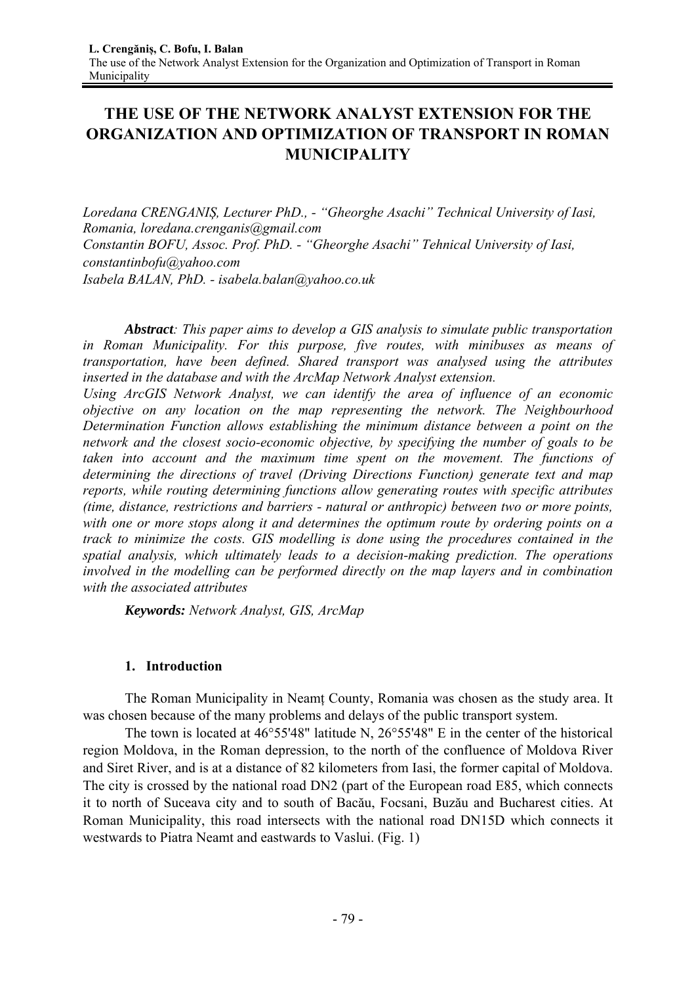# **THE USE OF THE NETWORK ANALYST EXTENSION FOR THE ORGANIZATION AND OPTIMIZATION OF TRANSPORT IN ROMAN MUNICIPALITY**

*Loredana CRENGANIȘ, Lecturer PhD., - "Gheorghe Asachi" Technical University of Iasi, Romania, loredana.crenganis@gmail.com Constantin BOFU, Assoc. Prof. PhD. - "Gheorghe Asachi" Tehnical University of Iasi, constantinbofu@yahoo.com Isabela BALAN, PhD. - isabela.balan@yahoo.co.uk* 

*Abstract: This paper aims to develop a GIS analysis to simulate public transportation in Roman Municipality. For this purpose, five routes, with minibuses as means of transportation, have been defined. Shared transport was analysed using the attributes inserted in the database and with the ArcMap Network Analyst extension.* 

*Using ArcGIS Network Analyst, we can identify the area of influence of an economic objective on any location on the map representing the network. The Neighbourhood Determination Function allows establishing the minimum distance between a point on the network and the closest socio-economic objective, by specifying the number of goals to be taken into account and the maximum time spent on the movement. The functions of determining the directions of travel (Driving Directions Function) generate text and map reports, while routing determining functions allow generating routes with specific attributes (time, distance, restrictions and barriers - natural or anthropic) between two or more points, with one or more stops along it and determines the optimum route by ordering points on a track to minimize the costs. GIS modelling is done using the procedures contained in the spatial analysis, which ultimately leads to a decision-making prediction. The operations involved in the modelling can be performed directly on the map layers and in combination with the associated attributes* 

*Keywords: Network Analyst, GIS, ArcMap* 

# **1. Introduction**

The Roman Municipality in Neamț County, Romania was chosen as the study area. It was chosen because of the many problems and delays of the public transport system.

The town is located at 46°55'48" latitude N, 26°55'48" E in the center of the historical region Moldova, in the Roman depression, to the north of the confluence of Moldova River and Siret River, and is at a distance of 82 kilometers from Iasi, the former capital of Moldova. The city is crossed by the national road DN2 (part of the European road E85, which connects it to north of Suceava city and to south of Bacău, Focsani, Buzău and Bucharest cities. At Roman Municipality, this road intersects with the national road DN15D which connects it westwards to Piatra Neamt and eastwards to Vaslui. (Fig. 1)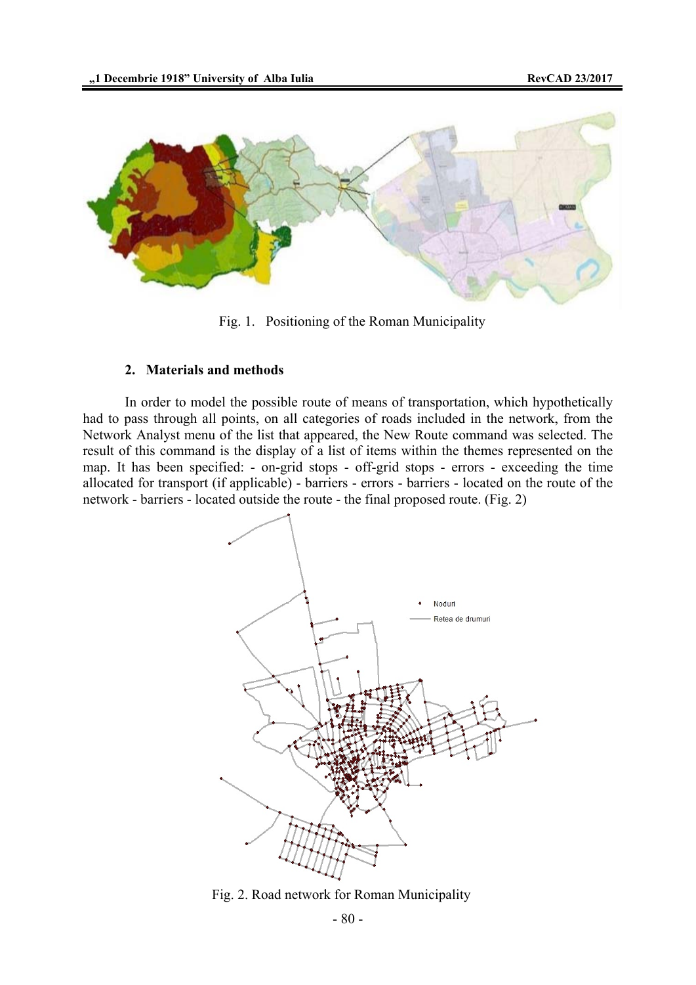

Fig. 1. Positioning of the Roman Municipality

### **2. Materials and methods**

In order to model the possible route of means of transportation, which hypothetically had to pass through all points, on all categories of roads included in the network, from the Network Analyst menu of the list that appeared, the New Route command was selected. The result of this command is the display of a list of items within the themes represented on the map. It has been specified: - on-grid stops - off-grid stops - errors - exceeding the time allocated for transport (if applicable) - barriers - errors - barriers - located on the route of the network - barriers - located outside the route - the final proposed route. (Fig. 2)



Fig. 2. Road network for Roman Municipality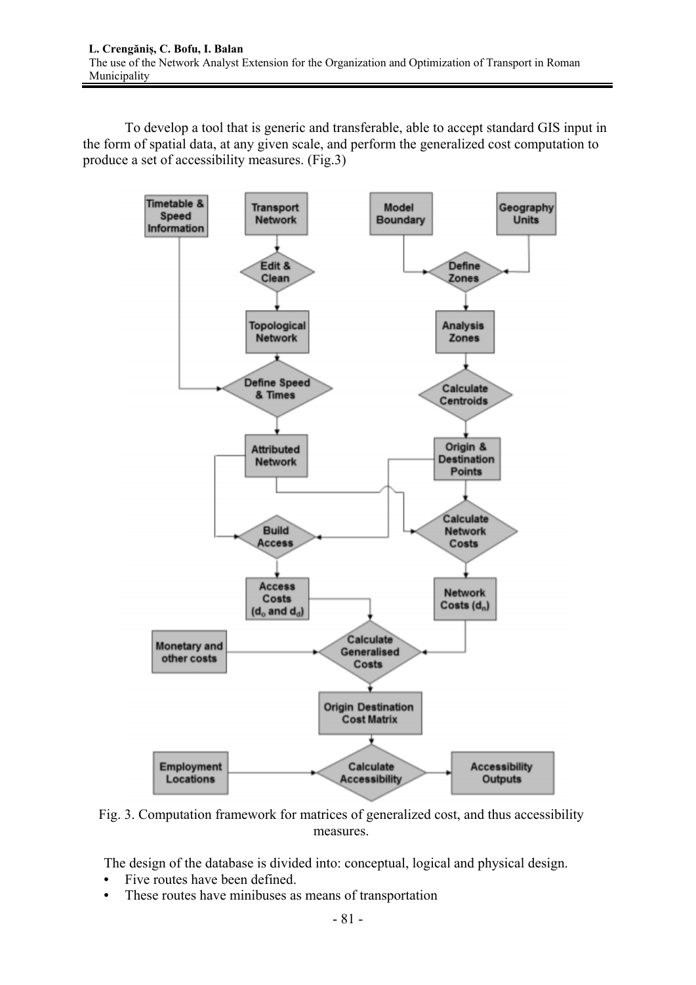To develop a tool that is generic and transferable, able to accept standard GIS input in the form of spatial data, at any given scale, and perform the generalized cost computation to produce a set of accessibility measures. (Fig.3)



Fig. 3. Computation framework for matrices of generalized cost, and thus accessibility measures.

The design of the database is divided into: conceptual, logical and physical design.

- Five routes have been defined.
- These routes have minibuses as means of transportation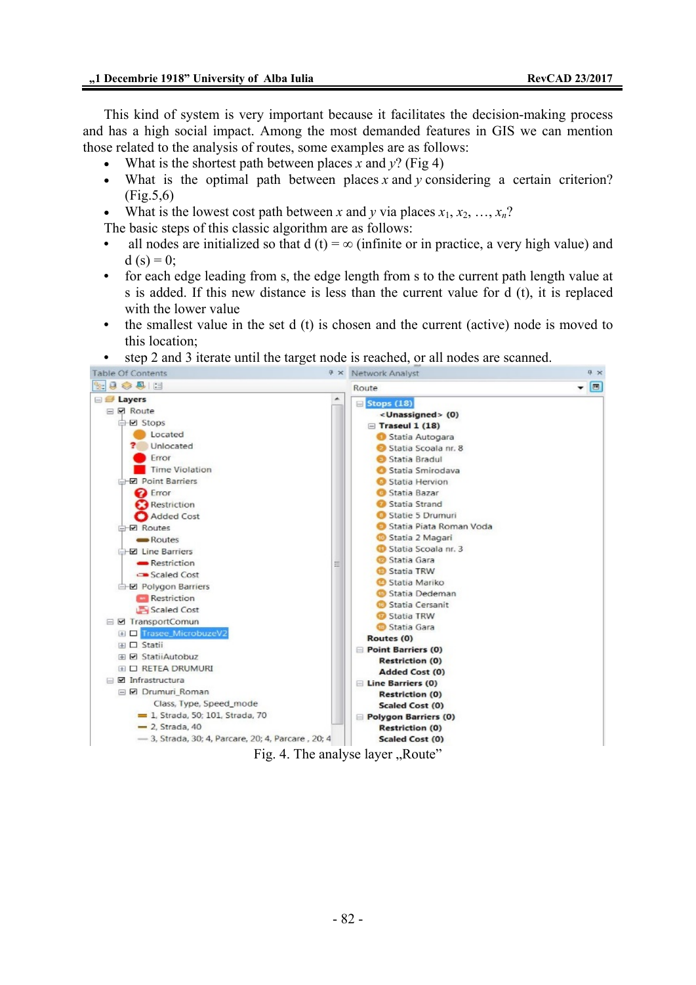This kind of system is very important because it facilitates the decision-making process and has a high social impact. Among the most demanded features in GIS we can mention those related to the analysis of routes, some examples are as follows:

- What is the shortest path between places *x* and  $v$ ? (Fig 4)
- What is the optimal path between places *x* and *y* considering a certain criterion? (Fig.5,6)
- What is the lowest cost path between *x* and *y* via places  $x_1, x_2, ..., x_n$ ?

The basic steps of this classic algorithm are as follows:

- all nodes are initialized so that  $d(t) = \infty$  (infinite or in practice, a very high value) and d (s) = 0;
- for each edge leading from s, the edge length from s to the current path length value at s is added. If this new distance is less than the current value for d (t), it is replaced with the lower value
- the smallest value in the set d (t) is chosen and the current (active) node is moved to this location;
- step 2 and 3 iterate until the target node is reached, or all nodes are scanned.

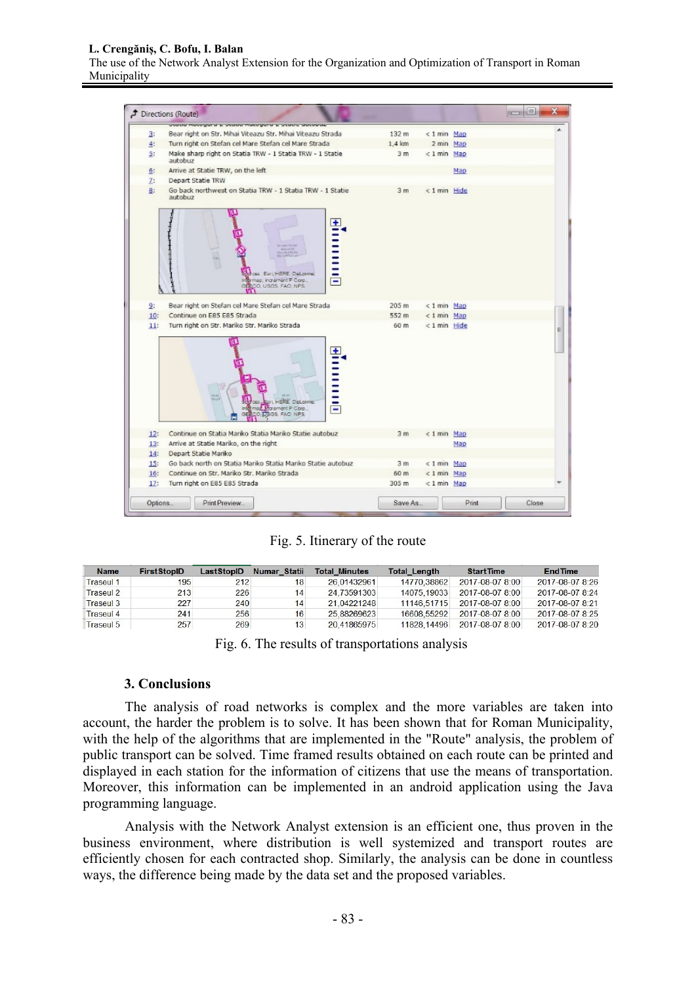#### **L. Crengăniș, C. Bofu, I. Balan**

The use of the Network Analyst Extension for the Organization and Optimization of Transport in Roman Municipality



Fig. 5. Itinerary of the route

| <b>Name</b>      | <b>FirstStopID</b> | LastStopID | Numar Statii | <b>Total Minutes</b> | <b>Total Length</b> | <b>Start Time</b>      | <b>EndTime</b>         |
|------------------|--------------------|------------|--------------|----------------------|---------------------|------------------------|------------------------|
| <b>Traseul 1</b> | 195                | 212        | 18           | 26.01432961          | 14770.38862         | $2017 - 08 - 078 - 00$ | 2017-08-07 8:26        |
| <b>Traseul 2</b> | 213                | 226        | 14           | 24.73591303          | 14075.19033         | 2017-08-07 8:00        | $2017 - 08 - 078 - 24$ |
| <b>Traseul 3</b> | 227                | 240        | 14           | 21.04221248          | 11146.51715         | 2017-08-07 8:00        | 2017-08-07 8:21        |
| <b>Traseul 4</b> | 241                | 256        | 16           | 25.88269623          | 16608 55292         | 2017-08-07 8:00        | 2017-08-07 8:25        |
| Traseul 5        | 257                | 269        | 13           | 20.41865975          | 11828 14496         | 2017-08-07 8:00        | 2017-08-07 8:20        |

|  |  | Fig. 6. The results of transportations analysis |  |  |
|--|--|-------------------------------------------------|--|--|
|  |  |                                                 |  |  |

## **3. Conclusions**

 The analysis of road networks is complex and the more variables are taken into account, the harder the problem is to solve. It has been shown that for Roman Municipality, with the help of the algorithms that are implemented in the "Route" analysis, the problem of public transport can be solved. Time framed results obtained on each route can be printed and displayed in each station for the information of citizens that use the means of transportation. Moreover, this information can be implemented in an android application using the Java programming language.

 Analysis with the Network Analyst extension is an efficient one, thus proven in the business environment, where distribution is well systemized and transport routes are efficiently chosen for each contracted shop. Similarly, the analysis can be done in countless ways, the difference being made by the data set and the proposed variables.